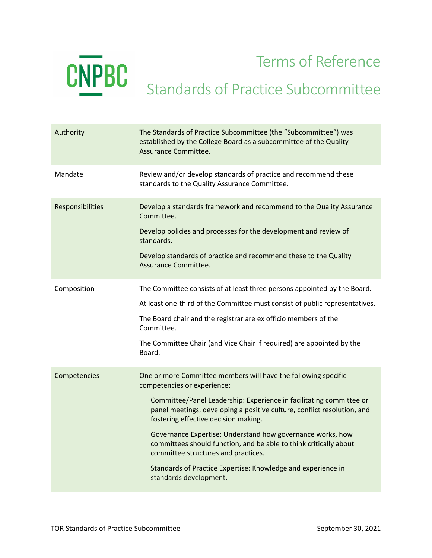

Terms of Reference

## Standards of Practice Subcommittee

| Authority        | The Standards of Practice Subcommittee (the "Subcommittee") was<br>established by the College Board as a subcommittee of the Quality<br>Assurance Committee.                           |
|------------------|----------------------------------------------------------------------------------------------------------------------------------------------------------------------------------------|
| Mandate          | Review and/or develop standards of practice and recommend these<br>standards to the Quality Assurance Committee.                                                                       |
| Responsibilities | Develop a standards framework and recommend to the Quality Assurance<br>Committee.                                                                                                     |
|                  | Develop policies and processes for the development and review of<br>standards.                                                                                                         |
|                  | Develop standards of practice and recommend these to the Quality<br>Assurance Committee.                                                                                               |
| Composition      | The Committee consists of at least three persons appointed by the Board.                                                                                                               |
|                  | At least one-third of the Committee must consist of public representatives.                                                                                                            |
|                  | The Board chair and the registrar are ex officio members of the<br>Committee.                                                                                                          |
|                  | The Committee Chair (and Vice Chair if required) are appointed by the<br>Board.                                                                                                        |
| Competencies     | One or more Committee members will have the following specific<br>competencies or experience:                                                                                          |
|                  | Committee/Panel Leadership: Experience in facilitating committee or<br>panel meetings, developing a positive culture, conflict resolution, and<br>fostering effective decision making. |
|                  | Governance Expertise: Understand how governance works, how<br>committees should function, and be able to think critically about<br>committee structures and practices.                 |
|                  | Standards of Practice Expertise: Knowledge and experience in<br>standards development.                                                                                                 |